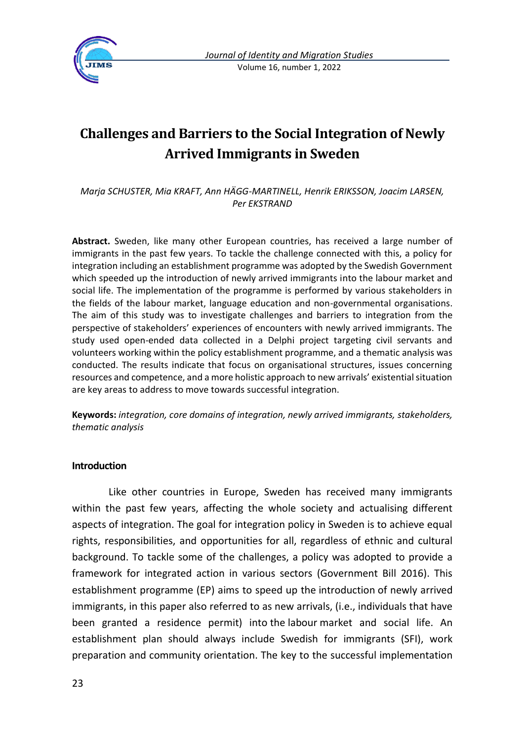

# **Challenges and Barriers to the Social Integration of Newly Arrived Immigrants in Sweden**

*Marja SCHUSTER, Mia KRAFT, Ann HÄGG-MARTINELL, Henrik ERIKSSON, Joacim LARSEN, Per EKSTRAND*

**Abstract.** Sweden, like many other European countries, has received a large number of immigrants in the past few years. To tackle the challenge connected with this, a policy for integration including an establishment programme was adopted by the Swedish Government which speeded up the introduction of newly arrived immigrants into the labour market and social life. The implementation of the programme is performed by various stakeholders in the fields of the labour market, language education and non-governmental organisations. The aim of this study was to investigate challenges and barriers to integration from the perspective of stakeholders' experiences of encounters with newly arrived immigrants. The study used open-ended data collected in a Delphi project targeting civil servants and volunteers working within the policy establishment programme, and a thematic analysis was conducted. The results indicate that focus on organisational structures, issues concerning resources and competence, and a more holistic approach to new arrivals' existential situation are key areas to address to move towards successful integration.

**Keywords:** *integration, core domains of integration, newly arrived immigrants, stakeholders, thematic analysis*

#### **Introduction**

Like other countries in Europe, Sweden has received many immigrants within the past few years, affecting the whole society and actualising different aspects of integration. The goal for integration policy in Sweden is to achieve equal rights, responsibilities, and opportunities for all, regardless of ethnic and cultural background. To tackle some of the challenges, a policy was adopted to provide a framework for integrated action in various sectors (Government Bill 2016). This establishment programme (EP) aims to speed up the introduction of newly arrived immigrants, in this paper also referred to as new arrivals, (i.e., individuals that have been granted a residence permit) into the labour market and social life. An establishment plan should always include Swedish for immigrants (SFI), work preparation and community orientation. The key to the successful implementation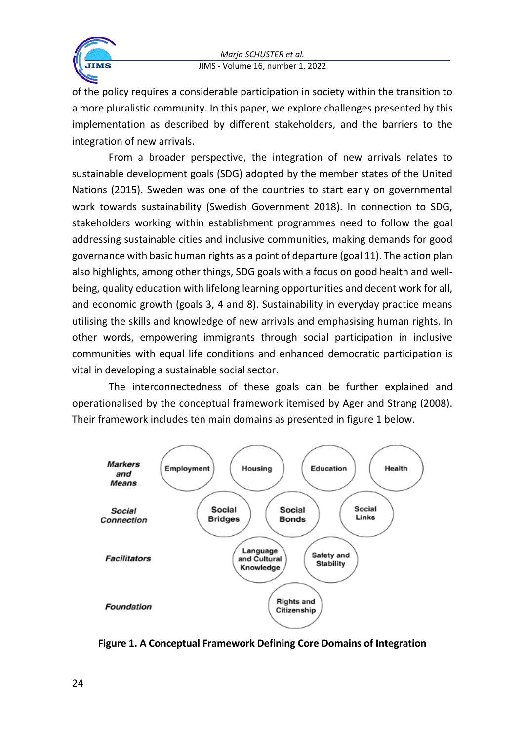

of the policy requires a considerable participation in society within the transition to a more pluralistic community. In this paper, we explore challenges presented by this implementation as described by different stakeholders, and the barriers to the integration of new arrivals.

From a broader perspective, the integration of new arrivals relates to sustainable development goals (SDG) adopted by the member states of the United Nations (2015). Sweden was one of the countries to start early on governmental work towards sustainability (Swedish Government 2018). In connection to SDG, stakeholders working within establishment programmes need to follow the goal addressing sustainable cities and inclusive communities, making demands for good governance with basic human rights as a point of departure (goal 11). The action plan also highlights, among other things, SDG goals with a focus on good health and wellbeing, quality education with lifelong learning opportunities and decent work for all, and economic growth (goals 3, 4 and 8). Sustainability in everyday practice means utilising the skills and knowledge of new arrivals and emphasising human rights. In other words, empowering immigrants through social participation in inclusive communities with equal life conditions and enhanced democratic participation is vital in developing a sustainable social sector.

The interconnectedness of these goals can be further explained and operationalised by the conceptual framework itemised by Ager and Strang (2008). Their framework includes ten main domains as presented in figure 1 below.



**Figure 1. A Conceptual Framework Defining Core Domains of Integration**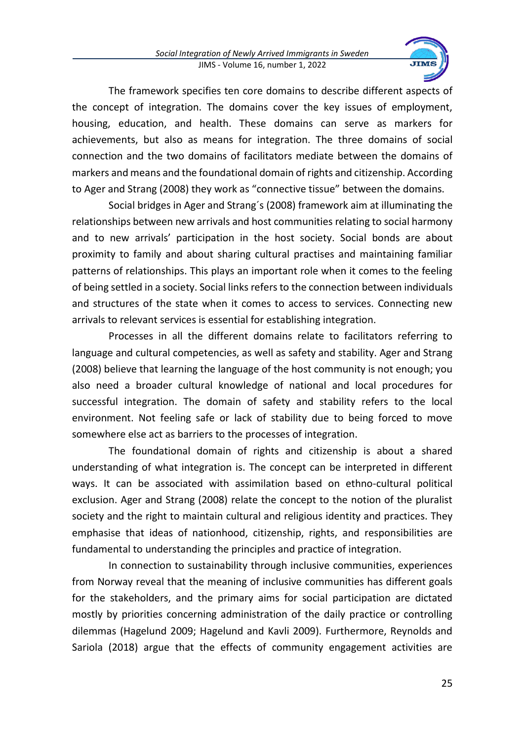

The framework specifies ten core domains to describe different aspects of the concept of integration. The domains cover the key issues of employment, housing, education, and health. These domains can serve as markers for achievements, but also as means for integration. The three domains of social connection and the two domains of facilitators mediate between the domains of markers and means and the foundational domain of rights and citizenship. According to Ager and Strang (2008) they work as "connective tissue" between the domains.

Social bridges in Ager and Strang´s (2008) framework aim at illuminating the relationships between new arrivals and host communities relating to social harmony and to new arrivals' participation in the host society. Social bonds are about proximity to family and about sharing cultural practises and maintaining familiar patterns of relationships. This plays an important role when it comes to the feeling of being settled in a society. Social links refers to the connection between individuals and structures of the state when it comes to access to services. Connecting new arrivals to relevant services is essential for establishing integration.

Processes in all the different domains relate to facilitators referring to language and cultural competencies, as well as safety and stability. Ager and Strang (2008) believe that learning the language of the host community is not enough; you also need a broader cultural knowledge of national and local procedures for successful integration. The domain of safety and stability refers to the local environment. Not feeling safe or lack of stability due to being forced to move somewhere else act as barriers to the processes of integration.

The foundational domain of rights and citizenship is about a shared understanding of what integration is. The concept can be interpreted in different ways. It can be associated with assimilation based on ethno-cultural political exclusion. Ager and Strang (2008) relate the concept to the notion of the pluralist society and the right to maintain cultural and religious identity and practices. They emphasise that ideas of nationhood, citizenship, rights, and responsibilities are fundamental to understanding the principles and practice of integration.

In connection to sustainability through inclusive communities, experiences from Norway reveal that the meaning of inclusive communities has different goals for the stakeholders, and the primary aims for social participation are dictated mostly by priorities concerning administration of the daily practice or controlling dilemmas (Hagelund 2009; Hagelund and Kavli 2009). Furthermore, Reynolds and Sariola (2018) argue that the effects of community engagement activities are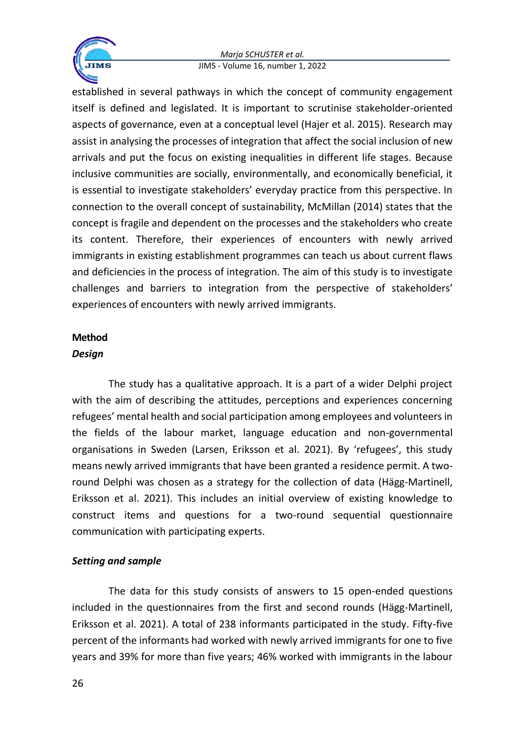

established in several pathways in which the concept of community engagement itself is defined and legislated. It is important to scrutinise stakeholder-oriented aspects of governance, even at a conceptual level (Hajer et al. 2015). Research may assist in analysing the processes of integration that affect the social inclusion of new arrivals and put the focus on existing inequalities in different life stages. Because inclusive communities are socially, environmentally, and economically beneficial, it is essential to investigate stakeholders' everyday practice from this perspective. In connection to the overall concept of sustainability, McMillan (2014) states that the concept is fragile and dependent on the processes and the stakeholders who create its content. Therefore, their experiences of encounters with newly arrived immigrants in existing establishment programmes can teach us about current flaws and deficiencies in the process of integration. The aim of this study is to investigate challenges and barriers to integration from the perspective of stakeholders' experiences of encounters with newly arrived immigrants.

# **Method**

# *Design*

The study has a qualitative approach. It is a part of a wider Delphi project with the aim of describing the attitudes, perceptions and experiences concerning refugees' mental health and social participation among employees and volunteers in the fields of the labour market, language education and non-governmental organisations in Sweden (Larsen, Eriksson et al. 2021). By 'refugees', this study means newly arrived immigrants that have been granted a residence permit. A tworound Delphi was chosen as a strategy for the collection of data (Hägg-Martinell, Eriksson et al. 2021). This includes an initial overview of existing knowledge to construct items and questions for a two-round sequential questionnaire communication with participating experts.

# *Setting and sample*

The data for this study consists of answers to 15 open-ended questions included in the questionnaires from the first and second rounds (Hägg-Martinell, Eriksson et al. 2021). A total of 238 informants participated in the study. Fifty-five percent of the informants had worked with newly arrived immigrants for one to five years and 39% for more than five years; 46% worked with immigrants in the labour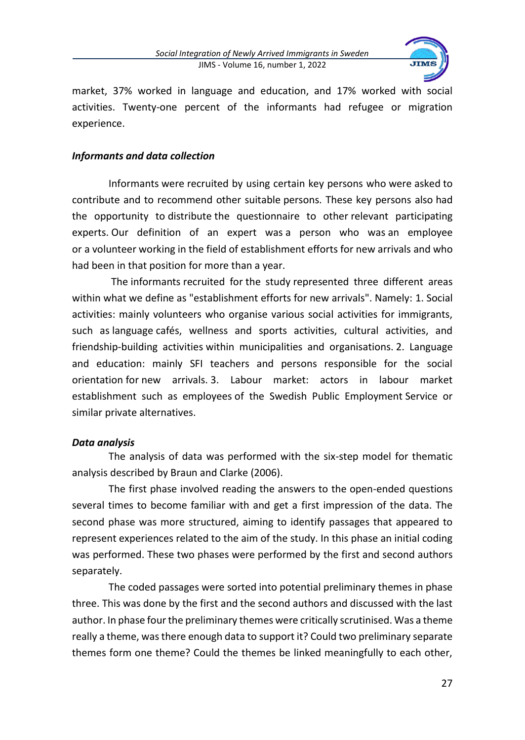

market, 37% worked in language and education, and 17% worked with social activities. Twenty-one percent of the informants had refugee or migration experience.

# *Informants and data collection*

Informants were recruited by using certain key persons who were asked to contribute and to recommend other suitable persons. These key persons also had the opportunity to distribute the questionnaire to other relevant participating experts. Our definition of an expert was a person who was an employee or a volunteer working in the field of establishment efforts for new arrivals and who had been in that position for more than a year.

The informants recruited for the study represented three different areas within what we define as "establishment efforts for new arrivals". Namely: 1. Social activities: mainly volunteers who organise various social activities for immigrants, such as language cafés, wellness and sports activities, cultural activities, and friendship-building activities within municipalities and organisations. 2. Language and education: mainly SFI teachers and persons responsible for the social orientation for new arrivals. 3. Labour market: actors in labour market establishment such as employees of the Swedish Public Employment Service or similar private alternatives.

## *Data analysis*

The analysis of data was performed with the six-step model for thematic analysis described by Braun and Clarke (2006).

The first phase involved reading the answers to the open-ended questions several times to become familiar with and get a first impression of the data. The second phase was more structured, aiming to identify passages that appeared to represent experiences related to the aim of the study. In this phase an initial coding was performed. These two phases were performed by the first and second authors separately.

The coded passages were sorted into potential preliminary themes in phase three. This was done by the first and the second authors and discussed with the last author. In phase four the preliminary themes were critically scrutinised. Was a theme really a theme, was there enough data to support it? Could two preliminary separate themes form one theme? Could the themes be linked meaningfully to each other,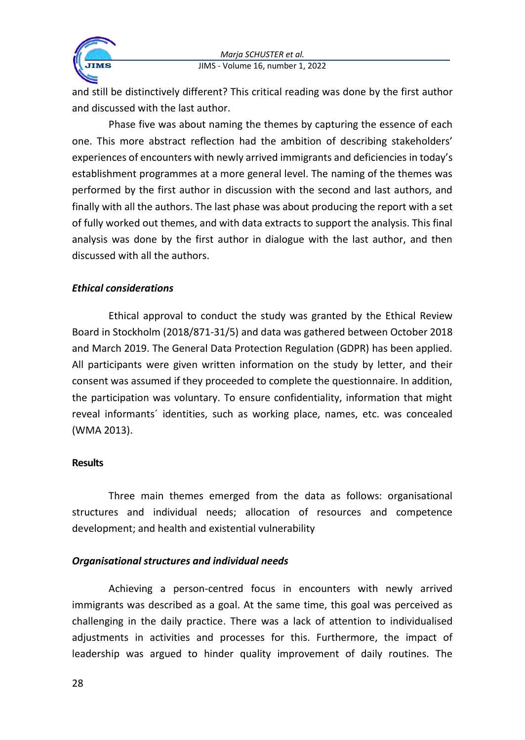

and still be distinctively different? This critical reading was done by the first author and discussed with the last author.

Phase five was about naming the themes by capturing the essence of each one. This more abstract reflection had the ambition of describing stakeholders' experiences of encounters with newly arrived immigrants and deficiencies in today's establishment programmes at a more general level. The naming of the themes was performed by the first author in discussion with the second and last authors, and finally with all the authors. The last phase was about producing the report with a set of fully worked out themes, and with data extracts to support the analysis. This final analysis was done by the first author in dialogue with the last author, and then discussed with all the authors.

# *Ethical considerations*

Ethical approval to conduct the study was granted by the Ethical Review Board in Stockholm (2018/871-31/5) and data was gathered between October 2018 and March 2019. The General Data Protection Regulation (GDPR) has been applied. All participants were given written information on the study by letter, and their consent was assumed if they proceeded to complete the questionnaire. In addition, the participation was voluntary. To ensure confidentiality, information that might reveal informants´ identities, such as working place, names, etc. was concealed (WMA 2013).

## **Results**

Three main themes emerged from the data as follows: organisational structures and individual needs; allocation of resources and competence development; and health and existential vulnerability

## *Organisational structures and individual needs*

Achieving a person-centred focus in encounters with newly arrived immigrants was described as a goal. At the same time, this goal was perceived as challenging in the daily practice. There was a lack of attention to individualised adjustments in activities and processes for this. Furthermore, the impact of leadership was argued to hinder quality improvement of daily routines. The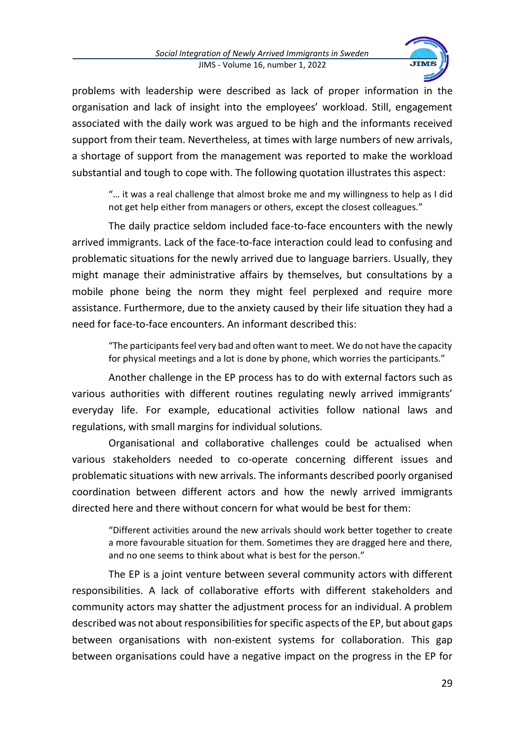

problems with leadership were described as lack of proper information in the organisation and lack of insight into the employees' workload. Still, engagement associated with the daily work was argued to be high and the informants received support from their team. Nevertheless, at times with large numbers of new arrivals, a shortage of support from the management was reported to make the workload substantial and tough to cope with. The following quotation illustrates this aspect:

"… it was a real challenge that almost broke me and my willingness to help as I did not get help either from managers or others, except the closest colleagues."

The daily practice seldom included face-to-face encounters with the newly arrived immigrants. Lack of the face-to-face interaction could lead to confusing and problematic situations for the newly arrived due to language barriers. Usually, they might manage their administrative affairs by themselves, but consultations by a mobile phone being the norm they might feel perplexed and require more assistance. Furthermore, due to the anxiety caused by their life situation they had a need for face-to-face encounters. An informant described this:

"The participants feel very bad and often want to meet. We do not have the capacity for physical meetings and a lot is done by phone, which worries the participants."

Another challenge in the EP process has to do with external factors such as various authorities with different routines regulating newly arrived immigrants' everyday life. For example, educational activities follow national laws and regulations, with small margins for individual solutions.

Organisational and collaborative challenges could be actualised when various stakeholders needed to co-operate concerning different issues and problematic situations with new arrivals. The informants described poorly organised coordination between different actors and how the newly arrived immigrants directed here and there without concern for what would be best for them:

"Different activities around the new arrivals should work better together to create a more favourable situation for them. Sometimes they are dragged here and there, and no one seems to think about what is best for the person."

The EP is a joint venture between several community actors with different responsibilities. A lack of collaborative efforts with different stakeholders and community actors may shatter the adjustment process for an individual. A problem described was not about responsibilities for specific aspects of the EP, but about gaps between organisations with non-existent systems for collaboration. This gap between organisations could have a negative impact on the progress in the EP for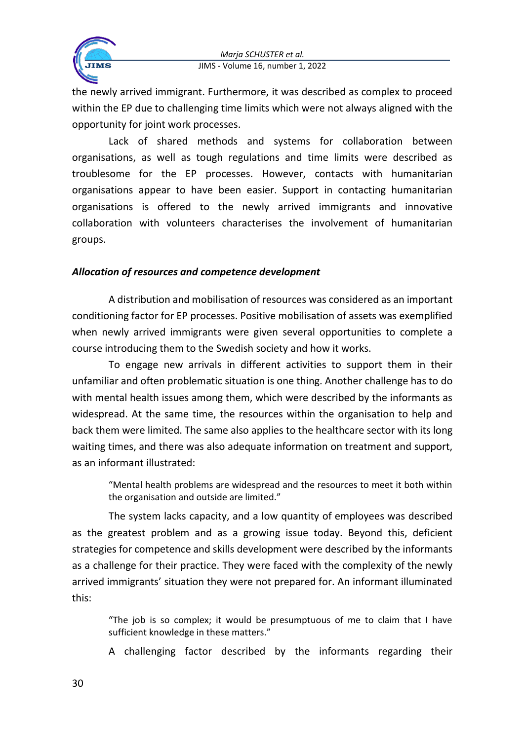

the newly arrived immigrant. Furthermore, it was described as complex to proceed within the EP due to challenging time limits which were not always aligned with the opportunity for joint work processes.

Lack of shared methods and systems for collaboration between organisations, as well as tough regulations and time limits were described as troublesome for the EP processes. However, contacts with humanitarian organisations appear to have been easier. Support in contacting humanitarian organisations is offered to the newly arrived immigrants and innovative collaboration with volunteers characterises the involvement of humanitarian groups.

# *Allocation of resources and competence development*

A distribution and mobilisation of resources was considered as an important conditioning factor for EP processes. Positive mobilisation of assets was exemplified when newly arrived immigrants were given several opportunities to complete a course introducing them to the Swedish society and how it works.

To engage new arrivals in different activities to support them in their unfamiliar and often problematic situation is one thing. Another challenge has to do with mental health issues among them, which were described by the informants as widespread. At the same time, the resources within the organisation to help and back them were limited. The same also applies to the healthcare sector with its long waiting times, and there was also adequate information on treatment and support, as an informant illustrated:

"Mental health problems are widespread and the resources to meet it both within the organisation and outside are limited."

The system lacks capacity, and a low quantity of employees was described as the greatest problem and as a growing issue today. Beyond this, deficient strategies for competence and skills development were described by the informants as a challenge for their practice. They were faced with the complexity of the newly arrived immigrants' situation they were not prepared for. An informant illuminated this:

"The job is so complex; it would be presumptuous of me to claim that I have sufficient knowledge in these matters."

A challenging factor described by the informants regarding their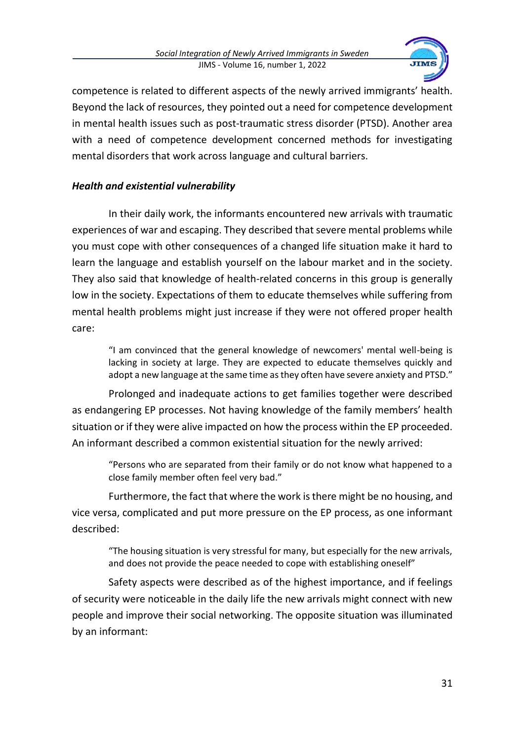

competence is related to different aspects of the newly arrived immigrants' health. Beyond the lack of resources, they pointed out a need for competence development in mental health issues such as post-traumatic stress disorder (PTSD). Another area with a need of competence development concerned methods for investigating mental disorders that work across language and cultural barriers.

# *Health and existential vulnerability*

In their daily work, the informants encountered new arrivals with traumatic experiences of war and escaping. They described that severe mental problems while you must cope with other consequences of a changed life situation make it hard to learn the language and establish yourself on the labour market and in the society. They also said that knowledge of health-related concerns in this group is generally low in the society. Expectations of them to educate themselves while suffering from mental health problems might just increase if they were not offered proper health care:

"I am convinced that the general knowledge of newcomers' mental well-being is lacking in society at large. They are expected to educate themselves quickly and adopt a new language at the same time as they often have severe anxiety and PTSD."

Prolonged and inadequate actions to get families together were described as endangering EP processes. Not having knowledge of the family members' health situation or if they were alive impacted on how the process within the EP proceeded. An informant described a common existential situation for the newly arrived:

"Persons who are separated from their family or do not know what happened to a close family member often feel very bad."

Furthermore, the fact that where the work is there might be no housing, and vice versa, complicated and put more pressure on the EP process, as one informant described:

"The housing situation is very stressful for many, but especially for the new arrivals, and does not provide the peace needed to cope with establishing oneself"

Safety aspects were described as of the highest importance, and if feelings of security were noticeable in the daily life the new arrivals might connect with new people and improve their social networking. The opposite situation was illuminated by an informant: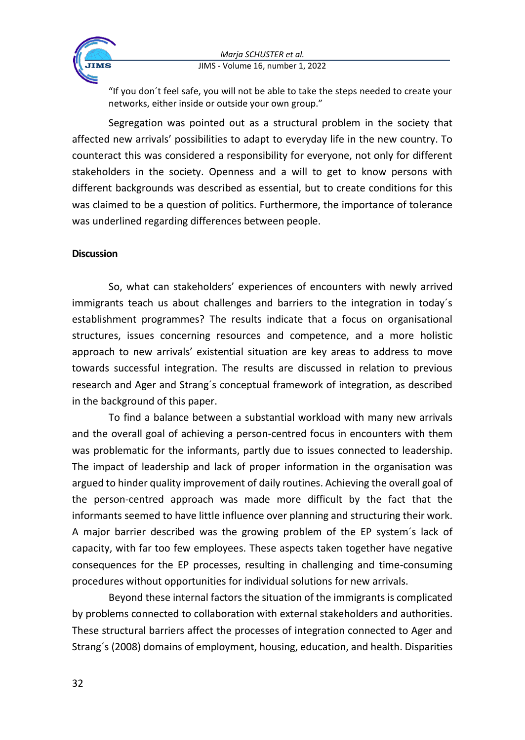

"If you don´t feel safe, you will not be able to take the steps needed to create your networks, either inside or outside your own group."

Segregation was pointed out as a structural problem in the society that affected new arrivals' possibilities to adapt to everyday life in the new country. To counteract this was considered a responsibility for everyone, not only for different stakeholders in the society. Openness and a will to get to know persons with different backgrounds was described as essential, but to create conditions for this was claimed to be a question of politics. Furthermore, the importance of tolerance was underlined regarding differences between people.

#### **Discussion**

So, what can stakeholders' experiences of encounters with newly arrived immigrants teach us about challenges and barriers to the integration in today´s establishment programmes? The results indicate that a focus on organisational structures, issues concerning resources and competence, and a more holistic approach to new arrivals' existential situation are key areas to address to move towards successful integration. The results are discussed in relation to previous research and Ager and Strang´s conceptual framework of integration, as described in the background of this paper.

To find a balance between a substantial workload with many new arrivals and the overall goal of achieving a person-centred focus in encounters with them was problematic for the informants, partly due to issues connected to leadership. The impact of leadership and lack of proper information in the organisation was argued to hinder quality improvement of daily routines. Achieving the overall goal of the person-centred approach was made more difficult by the fact that the informants seemed to have little influence over planning and structuring their work. A major barrier described was the growing problem of the EP system´s lack of capacity, with far too few employees. These aspects taken together have negative consequences for the EP processes, resulting in challenging and time-consuming procedures without opportunities for individual solutions for new arrivals.

Beyond these internal factors the situation of the immigrants is complicated by problems connected to collaboration with external stakeholders and authorities. These structural barriers affect the processes of integration connected to Ager and Strang´s (2008) domains of employment, housing, education, and health. Disparities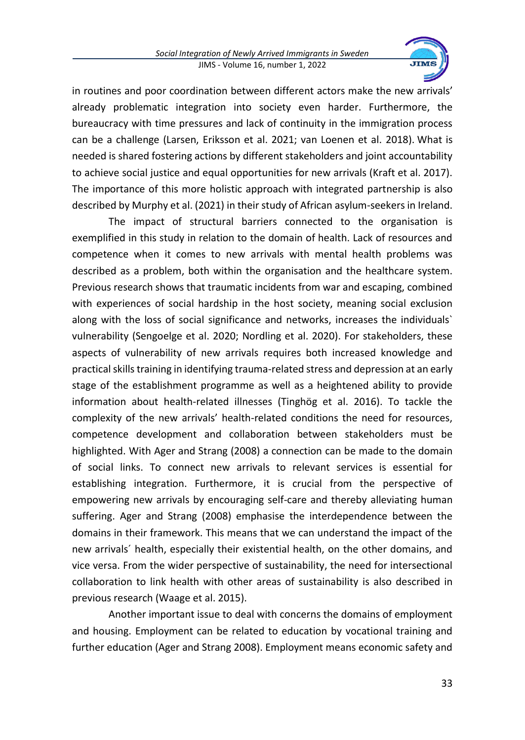

in routines and poor coordination between different actors make the new arrivals' already problematic integration into society even harder. Furthermore, the bureaucracy with time pressures and lack of continuity in the immigration process can be a challenge (Larsen, Eriksson et al. 2021; van Loenen et al. 2018). What is needed is shared fostering actions by different stakeholders and joint accountability to achieve social justice and equal opportunities for new arrivals (Kraft et al. 2017). The importance of this more holistic approach with integrated partnership is also described by Murphy et al. (2021) in their study of African asylum-seekers in Ireland.

The impact of structural barriers connected to the organisation is exemplified in this study in relation to the domain of health. Lack of resources and competence when it comes to new arrivals with mental health problems was described as a problem, both within the organisation and the healthcare system. Previous research shows that traumatic incidents from war and escaping, combined with experiences of social hardship in the host society, meaning social exclusion along with the loss of social significance and networks, increases the individuals` vulnerability (Sengoelge et al. 2020; Nordling et al. 2020). For stakeholders, these aspects of vulnerability of new arrivals requires both increased knowledge and practical skills training in identifying trauma-related stress and depression at an early stage of the establishment programme as well as a heightened ability to provide information about health-related illnesses (Tinghög et al. 2016). To tackle the complexity of the new arrivals' health-related conditions the need for resources, competence development and collaboration between stakeholders must be highlighted. With Ager and Strang (2008) a connection can be made to the domain of social links. To connect new arrivals to relevant services is essential for establishing integration. Furthermore, it is crucial from the perspective of empowering new arrivals by encouraging self-care and thereby alleviating human suffering. Ager and Strang (2008) emphasise the interdependence between the domains in their framework. This means that we can understand the impact of the new arrivals´ health, especially their existential health, on the other domains, and vice versa. From the wider perspective of sustainability, the need for intersectional collaboration to link health with other areas of sustainability is also described in previous research (Waage et al. 2015).

Another important issue to deal with concerns the domains of employment and housing. Employment can be related to education by vocational training and further education (Ager and Strang 2008). Employment means economic safety and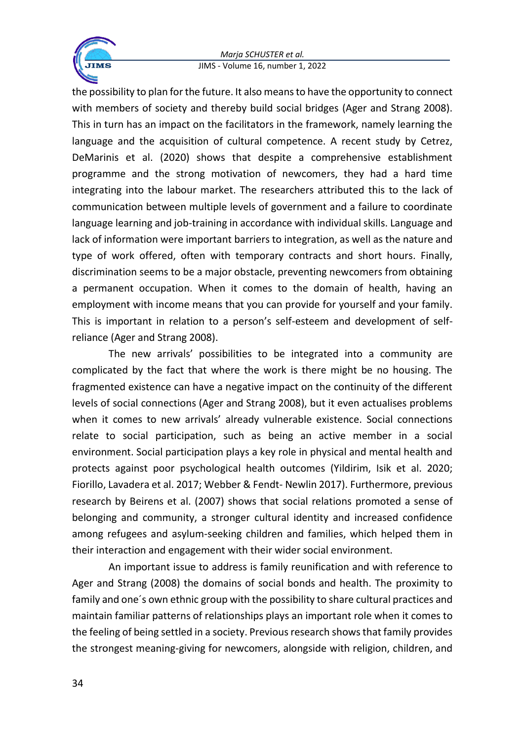

the possibility to plan for the future. It also means to have the opportunity to connect with members of society and thereby build social bridges (Ager and Strang 2008). This in turn has an impact on the facilitators in the framework, namely learning the language and the acquisition of cultural competence. A recent study by Cetrez, DeMarinis et al. (2020) shows that despite a comprehensive establishment programme and the strong motivation of newcomers, they had a hard time integrating into the labour market. The researchers attributed this to the lack of communication between multiple levels of government and a failure to coordinate language learning and job-training in accordance with individual skills. Language and lack of information were important barriers to integration, as well as the nature and type of work offered, often with temporary contracts and short hours. Finally, discrimination seems to be a major obstacle, preventing newcomers from obtaining a permanent occupation. When it comes to the domain of health, having an employment with income means that you can provide for yourself and your family. This is important in relation to a person's self-esteem and development of selfreliance (Ager and Strang 2008).

The new arrivals' possibilities to be integrated into a community are complicated by the fact that where the work is there might be no housing. The fragmented existence can have a negative impact on the continuity of the different levels of social connections (Ager and Strang 2008), but it even actualises problems when it comes to new arrivals' already vulnerable existence. Social connections relate to social participation, such as being an active member in a social environment. Social participation plays a key role in physical and mental health and protects against poor psychological health outcomes (Yildirim, Isik et al. 2020; Fiorillo, Lavadera et al. 2017; Webber & Fendt- Newlin 2017). Furthermore, previous research by Beirens et al. (2007) shows that social relations promoted a sense of belonging and community, a stronger cultural identity and increased confidence among refugees and asylum-seeking children and families, which helped them in their interaction and engagement with their wider social environment.

An important issue to address is family reunification and with reference to Ager and Strang (2008) the domains of social bonds and health. The proximity to family and one´s own ethnic group with the possibility to share cultural practices and maintain familiar patterns of relationships plays an important role when it comes to the feeling of being settled in a society. Previous research shows that family provides the strongest meaning-giving for newcomers, alongside with religion, children, and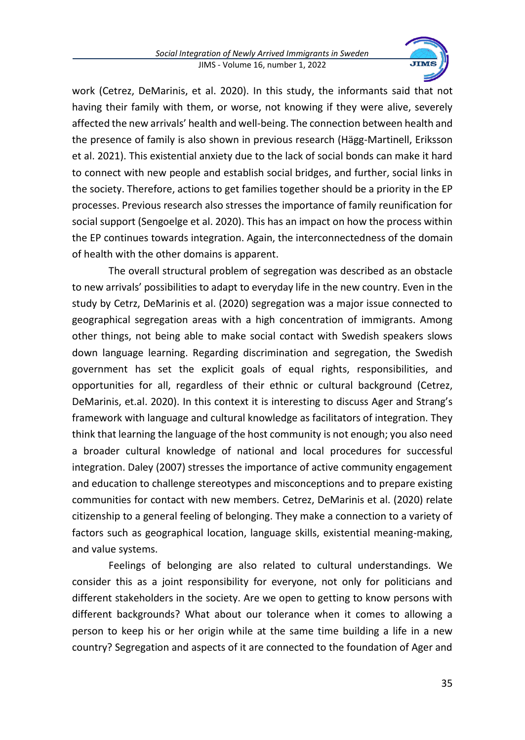

work (Cetrez, DeMarinis, et al. 2020). In this study, the informants said that not having their family with them, or worse, not knowing if they were alive, severely affected the new arrivals' health and well-being. The connection between health and the presence of family is also shown in previous research (Hägg-Martinell, Eriksson et al. 2021). This existential anxiety due to the lack of social bonds can make it hard to connect with new people and establish social bridges, and further, social links in the society. Therefore, actions to get families together should be a priority in the EP processes. Previous research also stresses the importance of family reunification for social support (Sengoelge et al. 2020). This has an impact on how the process within the EP continues towards integration. Again, the interconnectedness of the domain of health with the other domains is apparent.

The overall structural problem of segregation was described as an obstacle to new arrivals' possibilities to adapt to everyday life in the new country. Even in the study by Cetrz, DeMarinis et al. (2020) segregation was a major issue connected to geographical segregation areas with a high concentration of immigrants. Among other things, not being able to make social contact with Swedish speakers slows down language learning. Regarding discrimination and segregation, the Swedish government has set the explicit goals of equal rights, responsibilities, and opportunities for all, regardless of their ethnic or cultural background (Cetrez, DeMarinis, et.al. 2020). In this context it is interesting to discuss Ager and Strang's framework with language and cultural knowledge as facilitators of integration. They think that learning the language of the host community is not enough; you also need a broader cultural knowledge of national and local procedures for successful integration. Daley (2007) stresses the importance of active community engagement and education to challenge stereotypes and misconceptions and to prepare existing communities for contact with new members. Cetrez, DeMarinis et al. (2020) relate citizenship to a general feeling of belonging. They make a connection to a variety of factors such as geographical location, language skills, existential meaning-making, and value systems.

Feelings of belonging are also related to cultural understandings. We consider this as a joint responsibility for everyone, not only for politicians and different stakeholders in the society. Are we open to getting to know persons with different backgrounds? What about our tolerance when it comes to allowing a person to keep his or her origin while at the same time building a life in a new country? Segregation and aspects of it are connected to the foundation of Ager and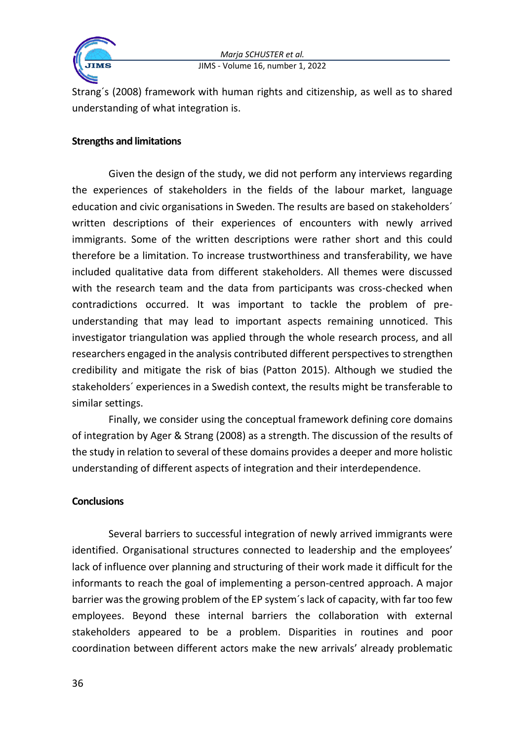

Strang´s (2008) framework with human rights and citizenship, as well as to shared understanding of what integration is.

#### **Strengths and limitations**

Given the design of the study, we did not perform any interviews regarding the experiences of stakeholders in the fields of the labour market, language education and civic organisations in Sweden. The results are based on stakeholders´ written descriptions of their experiences of encounters with newly arrived immigrants. Some of the written descriptions were rather short and this could therefore be a limitation. To increase trustworthiness and transferability, we have included qualitative data from different stakeholders. All themes were discussed with the research team and the data from participants was cross-checked when contradictions occurred. It was important to tackle the problem of preunderstanding that may lead to important aspects remaining unnoticed. This investigator triangulation was applied through the whole research process, and all researchers engaged in the analysis contributed different perspectives to strengthen credibility and mitigate the risk of bias (Patton 2015). Although we studied the stakeholders´ experiences in a Swedish context, the results might be transferable to similar settings.

Finally, we consider using the conceptual framework defining core domains of integration by Ager & Strang (2008) as a strength. The discussion of the results of the study in relation to several of these domains provides a deeper and more holistic understanding of different aspects of integration and their interdependence.

## **Conclusions**

Several barriers to successful integration of newly arrived immigrants were identified. Organisational structures connected to leadership and the employees' lack of influence over planning and structuring of their work made it difficult for the informants to reach the goal of implementing a person-centred approach. A major barrier was the growing problem of the EP system´s lack of capacity, with far too few employees. Beyond these internal barriers the collaboration with external stakeholders appeared to be a problem. Disparities in routines and poor coordination between different actors make the new arrivals' already problematic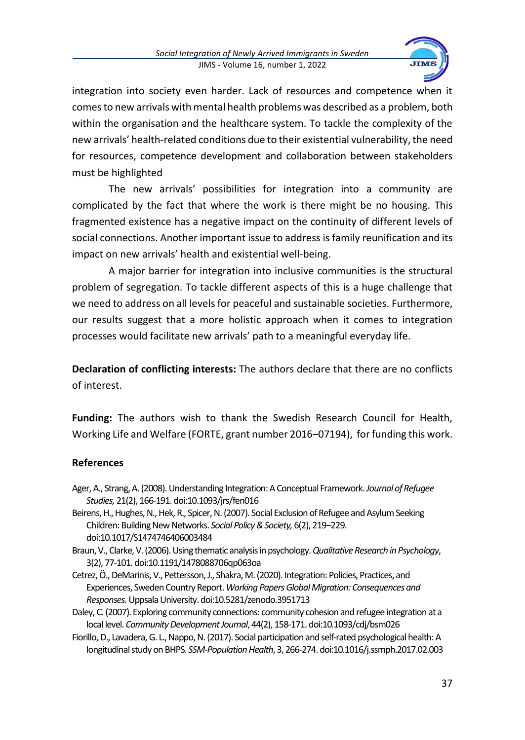

integration into society even harder. Lack of resources and competence when it comes to new arrivals with mental health problems was described as a problem, both within the organisation and the healthcare system. To tackle the complexity of the new arrivals' health-related conditions due to their existential vulnerability, the need for resources, competence development and collaboration between stakeholders must be highlighted

The new arrivals' possibilities for integration into a community are complicated by the fact that where the work is there might be no housing. This fragmented existence has a negative impact on the continuity of different levels of social connections. Another important issue to address is family reunification and its impact on new arrivals' health and existential well-being.

A major barrier for integration into inclusive communities is the structural problem of segregation. To tackle different aspects of this is a huge challenge that we need to address on all levels for peaceful and sustainable societies. Furthermore, our results suggest that a more holistic approach when it comes to integration processes would facilitate new arrivals' path to a meaningful everyday life.

**Declaration of conflicting interests:** The authors declare that there are no conflicts of interest.

**Funding:** The authors wish to thank the Swedish Research Council for Health, Working Life and Welfare (FORTE, grant number 2016–07194), for funding this work.

# **References**

- Ager, A., Strang, A. (2008). Understanding Integration: A Conceptual Framework. *Journal of Refugee Studies,* 21(2), 166-191. doi:10.1093/jrs/fen016
- Beirens, H., Hughes, N., Hek, R., Spicer, N. (2007). Social Exclusion of Refugee and Asylum Seeking Children: Building New Networks. *Social Policy & Society,*6(2), 219–229. doi:10.1017/S1474746406003484
- Braun, V., Clarke, V. (2006). Using thematic analysisin psychology. *Qualitative Research in Psychology*, 3(2), 77-101. doi:10.1191/1478088706qp063oa
- Cetrez, Ö., DeMarinis, V., Pettersson, J., Shakra, M. (2020). Integration: Policies, Practices, and Experiences, Sweden Country Report. *Working Papers Global Migration: Consequences and Responses.* Uppsala University. doi:10.5281/zenodo.3951713
- Daley, C. (2007). Exploring community connections: community cohesion and refugee integration at a local level. *Community Development Journal*, 44(2), 158-171. doi:10.1093/cdj/bsm026
- Fiorillo, D., Lavadera, G. L., Nappo, N. (2017). Social participation and self-rated psychological health: A longitudinal study on BHPS. *SSM-Population Health*, 3, 266-274. doi:10.1016/j.ssmph.2017.02.003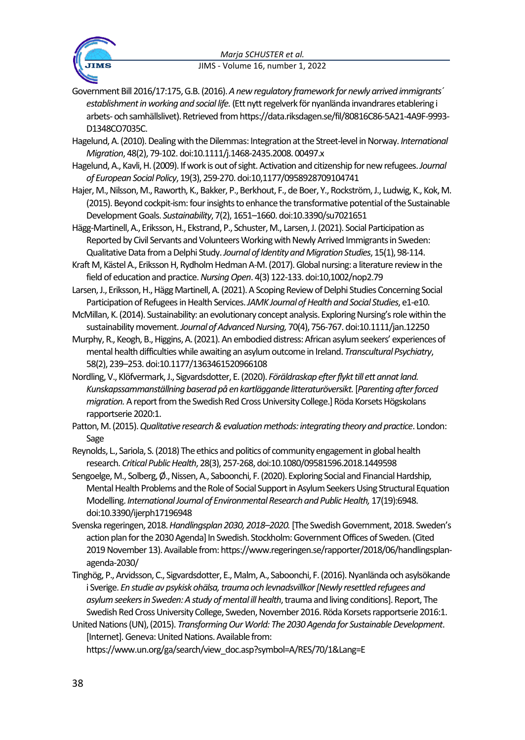

Government Bill 2016/17:175, G.B. (2016). *A new regulatory framework for newly arrived immigrants´ establishment in working and social life.* (Ett nytt regelverk för nyanlända invandrares etablering i arbets-och samhällslivet). Retrieved from https://data.riksdagen.se/fil/80816C86-5A21-4A9F-9993- D1348CO7035C.

Hagelund, A. (2010). Dealing with the Dilemmas: Integration at the Street‐level in Norway. *International Migration*, 48(2), 79-102. doi:10.1111/j.1468-2435.2008. 00497.x

- Hagelund, A., Kavli, H. (2009). If work is out of sight. Activation and citizenship for new refugees. *Journal of European Social Policy*, 19(3), 259-270. doi:10,1177/0958928709104741
- Hajer, M., Nilsson, M., Raworth, K., Bakker, P., Berkhout, F., de Boer, Y., Rockström, J., Ludwig, K., Kok, M. (2015). Beyond cockpit-ism: four insights to enhance the transformative potential of the Sustainable Development Goals. *Sustainability*, 7(2), 1651–1660. doi:10.3390/su7021651
- Hägg-Martinell, A., Eriksson, H., Ekstrand, P., Schuster, M., Larsen, J. (2021). Social Participation as Reported by Civil Servants and Volunteers Working with Newly Arrived Immigrants in Sweden: Qualitative Data from a Delphi Study. *Journal of Identity and Migration Studies*, 15(1), 98-114.
- Kraft M, Kästel A., Eriksson H, Rydholm Hedman A-M. (2017). Global nursing: a literature review in the field of education and practice. *Nursing Open*. 4(3) 122-133. doi:10,1002/nop2.79

Larsen, J., Eriksson, H., Hägg Martinell, A. (2021). A Scoping Review of Delphi Studies Concerning Social Participation of Refugees in Health Services. *JAMKJournal of Health and Social Studies*, e1-e10.

- McMillan, K. (2014). Sustainability: an evolutionary concept analysis. Exploring Nursing's role within the sustainability movement. *Journal of Advanced Nursing,* 70(4), 756-767. doi:10.1111/jan.12250
- Murphy, R., Keogh, B., Higgins, A. (2021). An embodied distress: African asylum seekers' experiences of mental health difficulties while awaiting an asylum outcome in Ireland. *Transcultural Psychiatry*, 58(2), 239–253. doi:10.1177/1363461520966108
- Nordling, V., Klöfvermark, J., Sigvardsdotter, E. (2020). *Föräldraskap efter flykt till ett annat land. Kunskapssammanställning baserad på en kartläggande litteraturöversikt.*[*Parenting after forced migration.*A report from the Swedish Red Cross University College.] Röda Korsets Högskolans rapportserie 2020:1.
- Patton, M. (2015). *Qualitative research & evaluation methods: integrating theory and practice*. London: Sage
- Reynolds, L., Sariola, S. (2018) The ethics and politics of community engagement in global health research. *Critical Public Health*, 28(3), 257-268, doi:10.1080/09581596.2018.1449598
- Sengoelge, M., Solberg, Ø., Nissen, A., Saboonchi, F. (2020). Exploring Social and Financial Hardship, Mental Health Problems and the Role of Social Support in Asylum Seekers Using Structural Equation Modelling. *International Journal of Environmental Research and Public Health,* 17(19):6948. doi:10.3390/ijerph17196948
- Svenska regeringen, 2018. *Handlingsplan 2030, 2018–2020.*[The Swedish Government, 2018. Sweden's action plan for the 2030 Agenda] In Swedish. Stockholm: Government Offices of Sweden. (Cited 2019 November 13). Available from[: https://www.regeringen.se/rapporter/2018/06/handlingsplan](https://www.regeringen.se/rapporter/2018/06/handlingsplan-agenda-2030/)[agenda-2030/](https://www.regeringen.se/rapporter/2018/06/handlingsplan-agenda-2030/)
- Tinghög, P., Arvidsson, C., Sigvardsdotter, E., Malm, A., Saboonchi, F. (2016). Nyanlända och asylsökande i Sverige. *En studie av psykisk ohälsa, trauma och levnadsvillkor [Newly resettled refugees and asylum seekers in Sweden: A study of mental ill health*, trauma and living conditions]. Report, The Swedish Red Cross University College, Sweden, November 2016. Röda Korsets rapportserie 2016:1.
- United Nations (UN), (2015). *Transforming Our World: The 2030 Agenda for Sustainable Development*. [Internet]. Geneva: United Nations. Available from:

https://www.un.org/ga/search/view\_doc.asp?symbol=A/RES/70/1&Lang=E